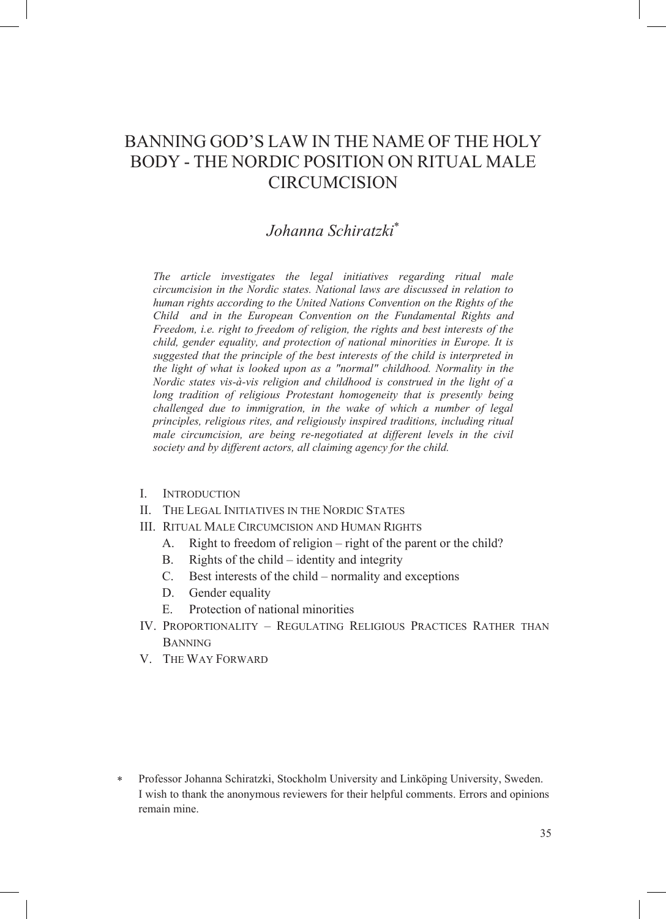# BANNING GOD'S LAW IN THE NAME OF THE HOLY BODY - THE NORDIC POSITION ON RITUAL MALE **CIRCUMCISION**

# *Johanna Schiratzki*

*The article investigates the legal initiatives regarding ritual male circumcision in the Nordic states. National laws are discussed in relation to human rights according to the United Nations Convention on the Rights of the Child and in the European Convention on the Fundamental Rights and Freedom, i.e. right to freedom of religion, the rights and best interests of the child, gender equality, and protection of national minorities in Europe. It is suggested that the principle of the best interests of the child is interpreted in the light of what is looked upon as a "normal" childhood. Normality in the Nordic states vis-à-vis religion and childhood is construed in the light of a long tradition of religious Protestant homogeneity that is presently being challenged due to immigration, in the wake of which a number of legal principles, religious rites, and religiously inspired traditions, including ritual male circumcision, are being re-negotiated at different levels in the civil society and by different actors, all claiming agency for the child.* 

- I. INTRODUCTION
- II. THE LEGAL INITIATIVES IN THE NORDIC STATES
- III. RITUAL MALE CIRCUMCISION AND HUMAN RIGHTS
	- A. Right to freedom of religion right of the parent or the child?
	- B. Rights of the child identity and integrity
	- C. Best interests of the child normality and exceptions
	- D. Gender equality
	- E. Protection of national minorities
- IV. PROPORTIONALITY REGULATING RELIGIOUS PRACTICES RATHER THAN **BANNING**
- V. THE WAY FORWARD

 Professor Johanna Schiratzki, Stockholm University and Linköping University, Sweden. I wish to thank the anonymous reviewers for their helpful comments. Errors and opinions remain mine.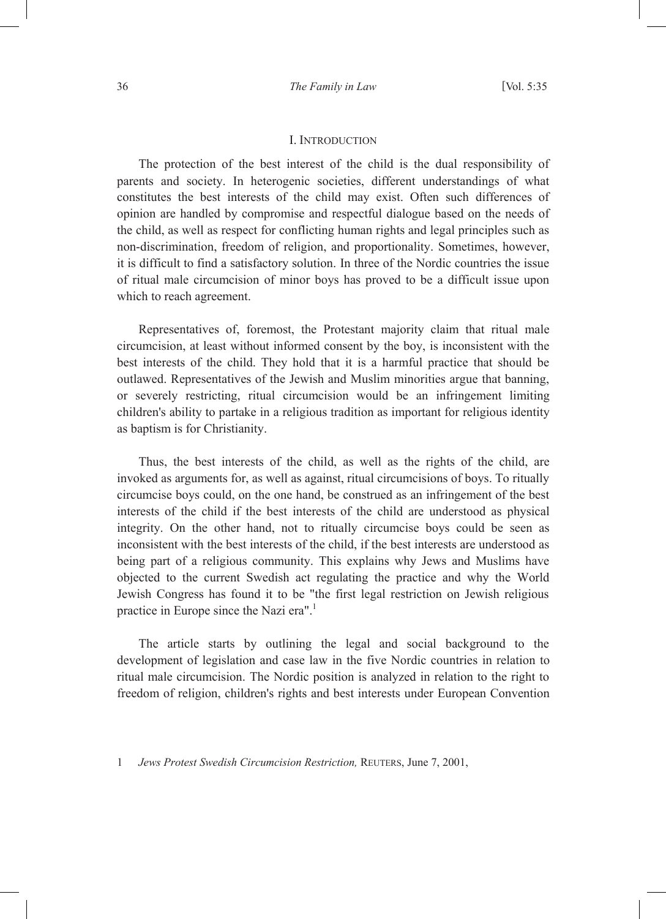#### I. INTRODUCTION

The protection of the best interest of the child is the dual responsibility of parents and society. In heterogenic societies, different understandings of what constitutes the best interests of the child may exist. Often such differences of opinion are handled by compromise and respectful dialogue based on the needs of the child, as well as respect for conflicting human rights and legal principles such as non-discrimination, freedom of religion, and proportionality. Sometimes, however, it is difficult to find a satisfactory solution. In three of the Nordic countries the issue of ritual male circumcision of minor boys has proved to be a difficult issue upon which to reach agreement.

Representatives of, foremost, the Protestant majority claim that ritual male circumcision, at least without informed consent by the boy, is inconsistent with the best interests of the child. They hold that it is a harmful practice that should be outlawed. Representatives of the Jewish and Muslim minorities argue that banning, or severely restricting, ritual circumcision would be an infringement limiting children's ability to partake in a religious tradition as important for religious identity as baptism is for Christianity.

Thus, the best interests of the child, as well as the rights of the child, are invoked as arguments for, as well as against, ritual circumcisions of boys. To ritually circumcise boys could, on the one hand, be construed as an infringement of the best interests of the child if the best interests of the child are understood as physical integrity. On the other hand, not to ritually circumcise boys could be seen as inconsistent with the best interests of the child, if the best interests are understood as being part of a religious community. This explains why Jews and Muslims have objected to the current Swedish act regulating the practice and why the World Jewish Congress has found it to be "the first legal restriction on Jewish religious practice in Europe since the Nazi era".<sup>1</sup>

The article starts by outlining the legal and social background to the development of legislation and case law in the five Nordic countries in relation to ritual male circumcision. The Nordic position is analyzed in relation to the right to freedom of religion, children's rights and best interests under European Convention

1 *Jews Protest Swedish Circumcision Restriction,* REUTERS, June 7, 2001,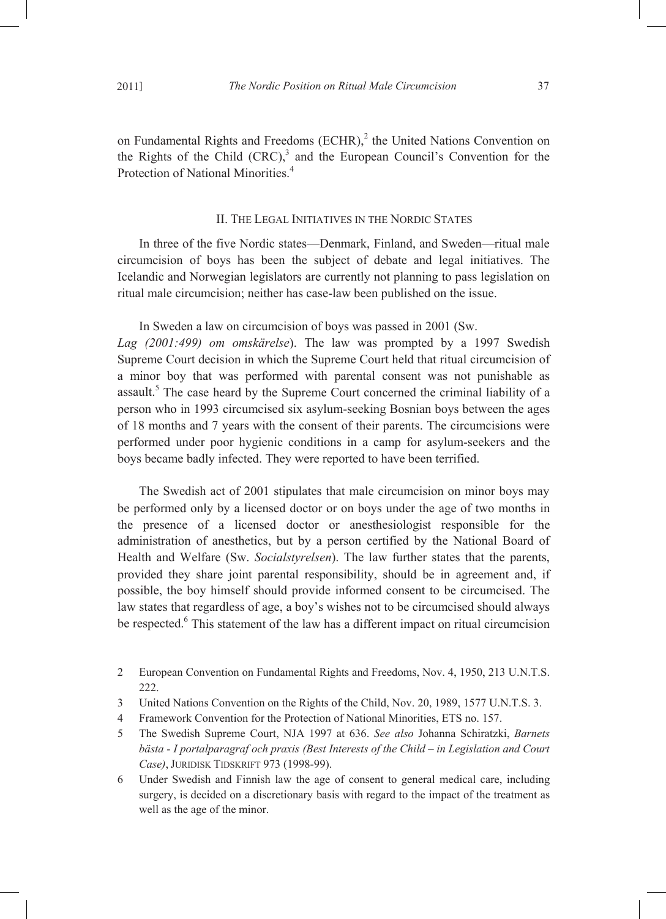#### II. THE LEGAL INITIATIVES IN THE NORDIC STATES

In three of the five Nordic states—Denmark, Finland, and Sweden—ritual male circumcision of boys has been the subject of debate and legal initiatives. The Icelandic and Norwegian legislators are currently not planning to pass legislation on ritual male circumcision; neither has case-law been published on the issue.

In Sweden a law on circumcision of boys was passed in 2001 (Sw. *Lag (2001:499) om omskärelse*). The law was prompted by a 1997 Swedish Supreme Court decision in which the Supreme Court held that ritual circumcision of a minor boy that was performed with parental consent was not punishable as assault.<sup>5</sup> The case heard by the Supreme Court concerned the criminal liability of a person who in 1993 circumcised six asylum-seeking Bosnian boys between the ages of 18 months and 7 years with the consent of their parents. The circumcisions were performed under poor hygienic conditions in a camp for asylum-seekers and the boys became badly infected. They were reported to have been terrified.

The Swedish act of 2001 stipulates that male circumcision on minor boys may be performed only by a licensed doctor or on boys under the age of two months in the presence of a licensed doctor or anesthesiologist responsible for the administration of anesthetics, but by a person certified by the National Board of Health and Welfare (Sw. *Socialstyrelsen*). The law further states that the parents, provided they share joint parental responsibility, should be in agreement and, if possible, the boy himself should provide informed consent to be circumcised. The law states that regardless of age, a boy's wishes not to be circumcised should always be respected.<sup>6</sup> This statement of the law has a different impact on ritual circumcision

- 3 United Nations Convention on the Rights of the Child, Nov. 20, 1989, 1577 U.N.T.S. 3.
- 4 Framework Convention for the Protection of National Minorities, ETS no. 157.
- 5 The Swedish Supreme Court, NJA 1997 at 636. *See also* Johanna Schiratzki, *Barnets bästa - I portalparagraf och praxis (Best Interests of the Child – in Legislation and Court Case)*, JURIDISK TIDSKRIFT 973 (1998-99).
- 6 Under Swedish and Finnish law the age of consent to general medical care, including surgery, is decided on a discretionary basis with regard to the impact of the treatment as well as the age of the minor.

<sup>2</sup> European Convention on Fundamental Rights and Freedoms, Nov. 4, 1950, 213 U.N.T.S. 222.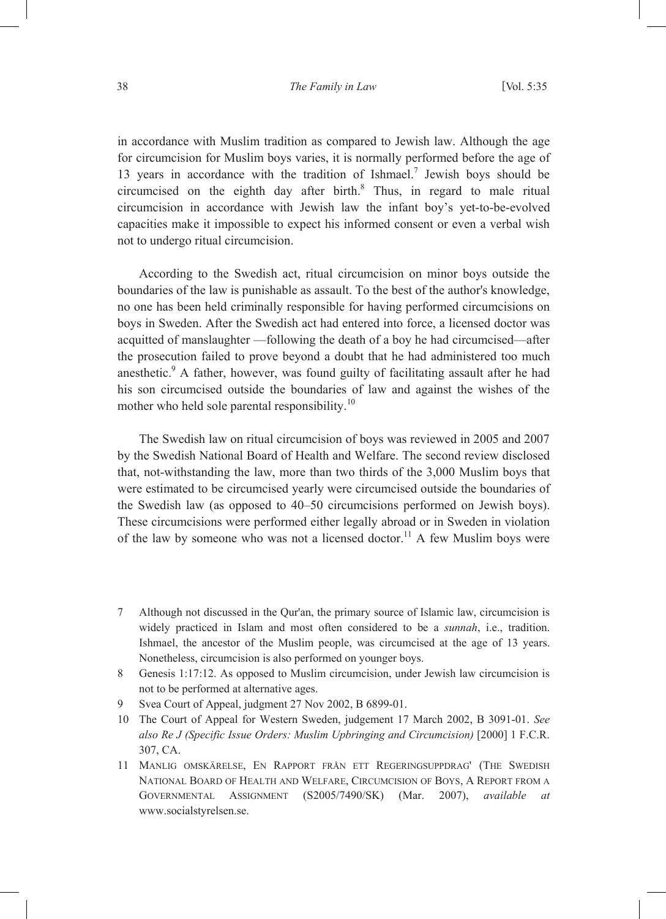in accordance with Muslim tradition as compared to Jewish law. Although the age for circumcision for Muslim boys varies, it is normally performed before the age of 13 years in accordance with the tradition of Ishmael.<sup>7</sup> Jewish boys should be circumcised on the eighth day after birth. $8$  Thus, in regard to male ritual circumcision in accordance with Jewish law the infant boy's yet-to-be-evolved capacities make it impossible to expect his informed consent or even a verbal wish not to undergo ritual circumcision.

According to the Swedish act, ritual circumcision on minor boys outside the boundaries of the law is punishable as assault. To the best of the author's knowledge, no one has been held criminally responsible for having performed circumcisions on boys in Sweden. After the Swedish act had entered into force, a licensed doctor was acquitted of manslaughter —following the death of a boy he had circumcised—after the prosecution failed to prove beyond a doubt that he had administered too much anesthetic.<sup>9</sup> A father, however, was found guilty of facilitating assault after he had his son circumcised outside the boundaries of law and against the wishes of the mother who held sole parental responsibility.<sup>10</sup>

The Swedish law on ritual circumcision of boys was reviewed in 2005 and 2007 by the Swedish National Board of Health and Welfare. The second review disclosed that, not-withstanding the law, more than two thirds of the 3,000 Muslim boys that were estimated to be circumcised yearly were circumcised outside the boundaries of the Swedish law (as opposed to 40–50 circumcisions performed on Jewish boys). These circumcisions were performed either legally abroad or in Sweden in violation of the law by someone who was not a licensed doctor.<sup>11</sup> A few Muslim boys were

- 7 Although not discussed in the Qur'an, the primary source of Islamic law, circumcision is widely practiced in Islam and most often considered to be a *sunnah*, i.e., tradition. Ishmael, the ancestor of the Muslim people, was circumcised at the age of 13 years. Nonetheless, circumcision is also performed on younger boys.
- 8 Genesis 1:17:12. As opposed to Muslim circumcision, under Jewish law circumcision is not to be performed at alternative ages.
- 9 Svea Court of Appeal, judgment 27 Nov 2002, B 6899-01.
- 10 The Court of Appeal for Western Sweden, judgement 17 March 2002, B 3091-01. *See also Re J (Specific Issue Orders: Muslim Upbringing and Circumcision)* [2000] 1 F.C.R. 307, CA.
- 11 MANLIG OMSKÄRELSE, EN RAPPORT FRÅN ETT REGERINGSUPPDRAG' (THE SWEDISH NATIONAL BOARD OF HEALTH AND WELFARE, CIRCUMCISION OF BOYS, A REPORT FROM A GOVERNMENTAL ASSIGNMENT (S2005/7490/SK) (Mar. 2007), *available at* www.socialstyrelsen.se.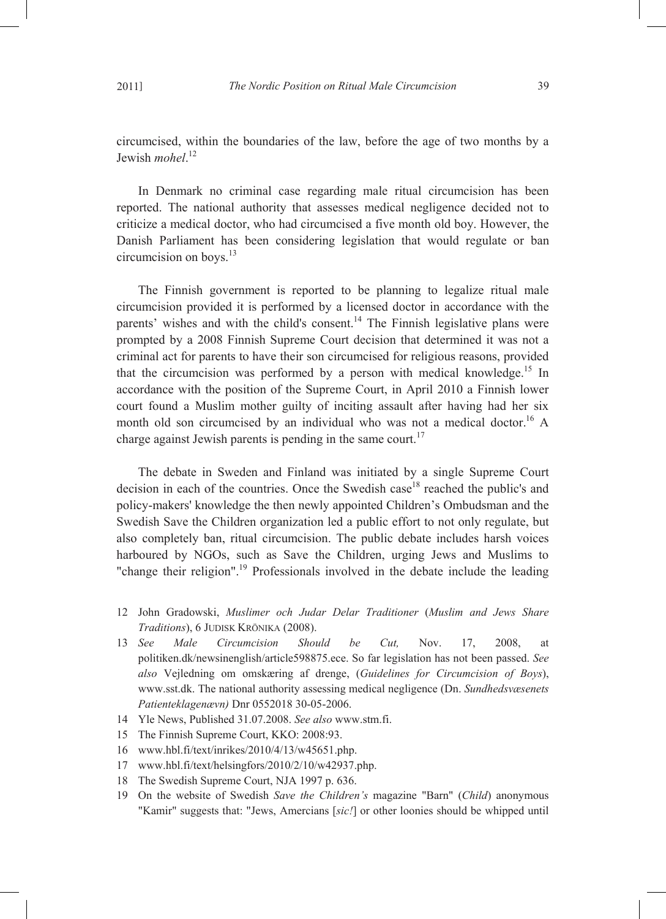circumcised, within the boundaries of the law, before the age of two months by a Jewish *mohel*. 12

In Denmark no criminal case regarding male ritual circumcision has been reported. The national authority that assesses medical negligence decided not to criticize a medical doctor, who had circumcised a five month old boy. However, the Danish Parliament has been considering legislation that would regulate or ban circumcision on boys. $^{13}$ 

The Finnish government is reported to be planning to legalize ritual male circumcision provided it is performed by a licensed doctor in accordance with the parents' wishes and with the child's consent.<sup>14</sup> The Finnish legislative plans were prompted by a 2008 Finnish Supreme Court decision that determined it was not a criminal act for parents to have their son circumcised for religious reasons, provided that the circumcision was performed by a person with medical knowledge.<sup>15</sup> In accordance with the position of the Supreme Court, in April 2010 a Finnish lower court found a Muslim mother guilty of inciting assault after having had her six month old son circumcised by an individual who was not a medical doctor.<sup>16</sup> A charge against Jewish parents is pending in the same court.<sup>17</sup>

The debate in Sweden and Finland was initiated by a single Supreme Court decision in each of the countries. Once the Swedish case<sup>18</sup> reached the public's and policy-makers' knowledge the then newly appointed Children's Ombudsman and the Swedish Save the Children organization led a public effort to not only regulate, but also completely ban, ritual circumcision. The public debate includes harsh voices harboured by NGOs, such as Save the Children, urging Jews and Muslims to "change their religion".<sup>19</sup> Professionals involved in the debate include the leading

- 12 John Gradowski, *Muslimer och Judar Delar Traditioner* (*Muslim and Jews Share Traditions*), 6 JUDISK KRÖNIKA (2008).
- 13 *See Male Circumcision Should be Cut,* Nov. 17, 2008, at politiken.dk/newsinenglish/article598875.ece. So far legislation has not been passed. *See also* Vejledning om omskæring af drenge, (*Guidelines for Circumcision of Boys*), www.sst.dk. The national authority assessing medical negligence (Dn. *Sundhedsvæsenets Patienteklagenævn)* Dnr 0552018 30-05-2006.
- 14 Yle News, Published 31.07.2008. *See also* www.stm.fi.
- 15 The Finnish Supreme Court, KKO: 2008:93.
- 16 www.hbl.fi/text/inrikes/2010/4/13/w45651.php.
- 17 www.hbl.fi/text/helsingfors/2010/2/10/w42937.php.
- 18 The Swedish Supreme Court, NJA 1997 p. 636.
- 19 On the website of Swedish *Save the Children's* magazine "Barn" (*Child*) anonymous "Kamir" suggests that: "Jews, Amercians [*sic!*] or other loonies should be whipped until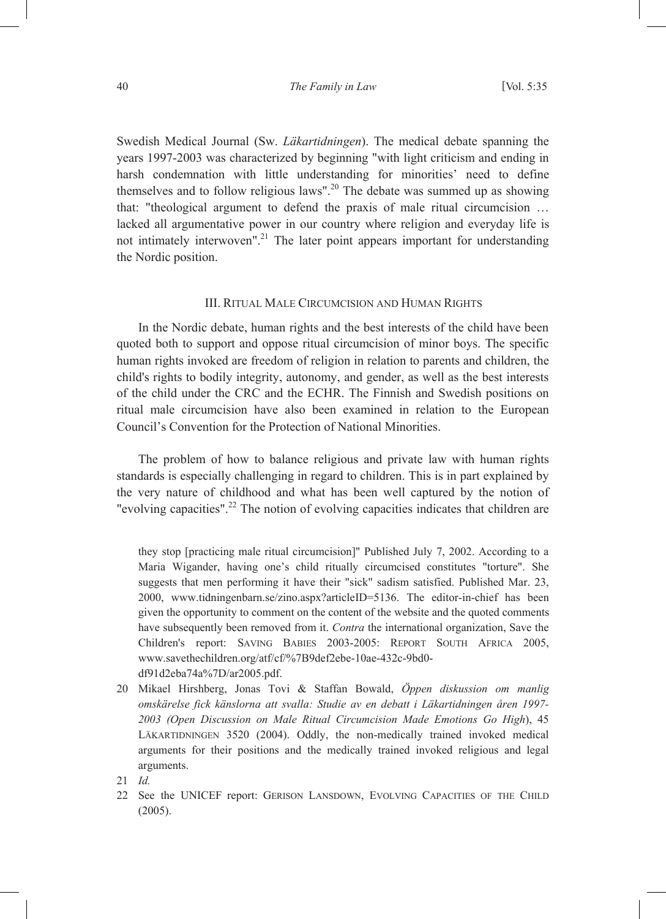Swedish Medical Journal (Sw. *Läkartidningen*). The medical debate spanning the years 1997-2003 was characterized by beginning "with light criticism and ending in harsh condemnation with little understanding for minorities' need to define themselves and to follow religious laws".20 The debate was summed up as showing that: "theological argument to defend the praxis of male ritual circumcision … lacked all argumentative power in our country where religion and everyday life is not intimately interwoven".<sup>21</sup> The later point appears important for understanding the Nordic position.

#### III. RITUAL MALE CIRCUMCISION AND HUMAN RIGHTS

In the Nordic debate, human rights and the best interests of the child have been quoted both to support and oppose ritual circumcision of minor boys. The specific human rights invoked are freedom of religion in relation to parents and children, the child's rights to bodily integrity, autonomy, and gender, as well as the best interests of the child under the CRC and the ECHR. The Finnish and Swedish positions on ritual male circumcision have also been examined in relation to the European Council's Convention for the Protection of National Minorities.

The problem of how to balance religious and private law with human rights standards is especially challenging in regard to children. This is in part explained by the very nature of childhood and what has been well captured by the notion of "evolving capacities".<sup>22</sup> The notion of evolving capacities indicates that children are

they stop [practicing male ritual circumcision]" Published July 7, 2002. According to a Maria Wigander, having one's child ritually circumcised constitutes "torture". She suggests that men performing it have their "sick" sadism satisfied. Published Mar. 23, 2000, www.tidningenbarn.se/zino.aspx?articleID=5136. The editor-in-chief has been given the opportunity to comment on the content of the website and the quoted comments have subsequently been removed from it. *Contra* the international organization, Save the Children's report: SAVING BABIES 2003-2005: REPORT SOUTH AFRICA 2005, www.savethechildren.org/atf/cf/%7B9def2ebe-10ae-432c-9bd0 df91d2eba74a%7D/ar2005.pdf.

- 20 Mikael Hirshberg, Jonas Tovi & Staffan Bowald, *Öppen diskussion om manlig omskärelse fick känslorna att svalla: Studie av en debatt i Läkartidningen åren 1997- 2003 (Open Discussion on Male Ritual Circumcision Made Emotions Go High*), 45 LÄKARTIDNINGEN 3520 (2004). Oddly, the non-medically trained invoked medical arguments for their positions and the medically trained invoked religious and legal arguments.
- 21 *Id.*
- 22 See the UNICEF report: GERISON LANSDOWN, EVOLVING CAPACITIES OF THE CHILD (2005).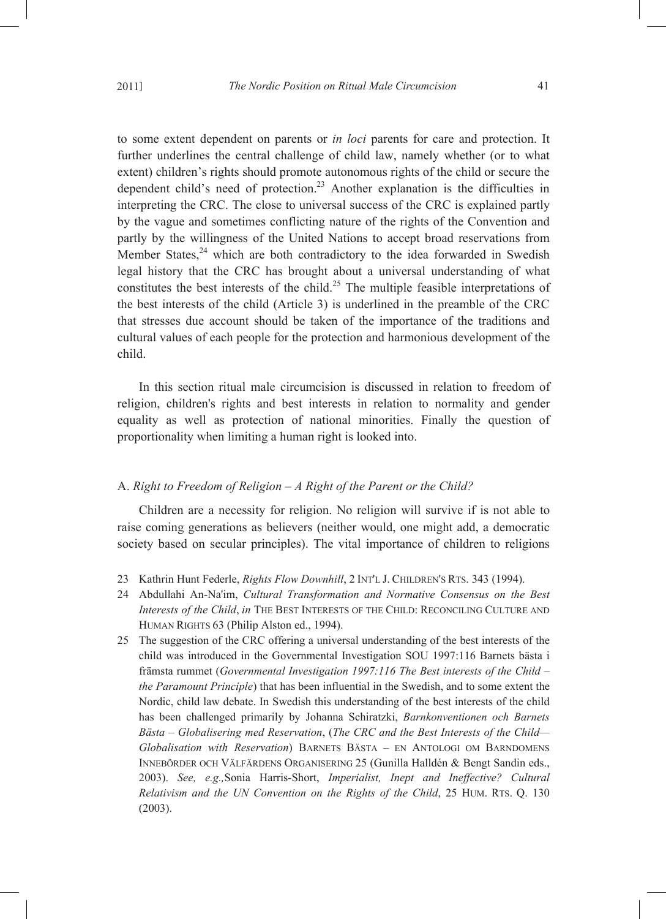to some extent dependent on parents or *in loci* parents for care and protection. It further underlines the central challenge of child law, namely whether (or to what extent) children's rights should promote autonomous rights of the child or secure the dependent child's need of protection.23 Another explanation is the difficulties in interpreting the CRC. The close to universal success of the CRC is explained partly by the vague and sometimes conflicting nature of the rights of the Convention and partly by the willingness of the United Nations to accept broad reservations from Member States, $24$  which are both contradictory to the idea forwarded in Swedish legal history that the CRC has brought about a universal understanding of what constitutes the best interests of the child.<sup>25</sup> The multiple feasible interpretations of the best interests of the child (Article 3) is underlined in the preamble of the CRC that stresses due account should be taken of the importance of the traditions and cultural values of each people for the protection and harmonious development of the child.

In this section ritual male circumcision is discussed in relation to freedom of religion, children's rights and best interests in relation to normality and gender equality as well as protection of national minorities. Finally the question of proportionality when limiting a human right is looked into.

#### A. *Right to Freedom of Religion – A Right of the Parent or the Child?*

Children are a necessity for religion. No religion will survive if is not able to raise coming generations as believers (neither would, one might add, a democratic society based on secular principles). The vital importance of children to religions

- 23 Kathrin Hunt Federle, *Rights Flow Downhill*, 2 INT'L J. CHILDREN'S RTS. 343 (1994).
- 24 Abdullahi An-Na'im, *Cultural Transformation and Normative Consensus on the Best Interests of the Child*, *in* THE BEST INTERESTS OF THE CHILD: RECONCILING CULTURE AND HUMAN RIGHTS 63 (Philip Alston ed., 1994).
- 25 The suggestion of the CRC offering a universal understanding of the best interests of the child was introduced in the Governmental Investigation SOU 1997:116 Barnets bästa i främsta rummet (*Governmental Investigation 1997:116 The Best interests of the Child – the Paramount Principle*) that has been influential in the Swedish, and to some extent the Nordic, child law debate. In Swedish this understanding of the best interests of the child has been challenged primarily by Johanna Schiratzki, *Barnkonventionen och Barnets Bästa – Globalisering med Reservation*, (*The CRC and the Best Interests of the Child— Globalisation with Reservation*) BARNETS BÄSTA – EN ANTOLOGI OM BARNDOMENS INNEBÖRDER OCH VÄLFÄRDENS ORGANISERING 25 (Gunilla Halldén & Bengt Sandin eds., 2003). *See, e.g.,*Sonia Harris-Short, *Imperialist, Inept and Ineffective? Cultural Relativism and the UN Convention on the Rights of the Child*, 25 HUM. RTS. Q. 130 (2003).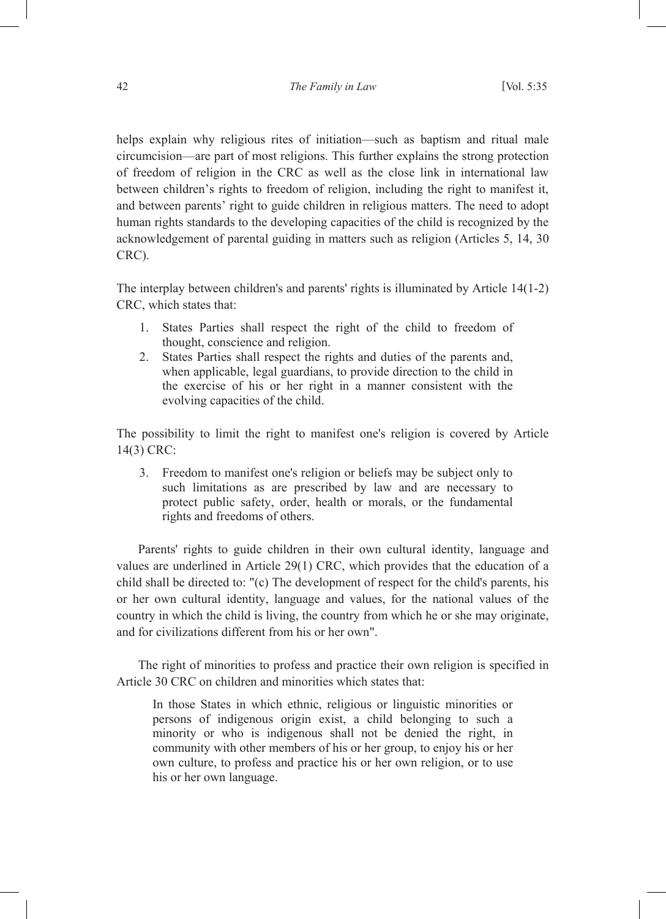helps explain why religious rites of initiation—such as baptism and ritual male circumcision—are part of most religions. This further explains the strong protection of freedom of religion in the CRC as well as the close link in international law between children's rights to freedom of religion, including the right to manifest it, and between parents' right to guide children in religious matters. The need to adopt human rights standards to the developing capacities of the child is recognized by the acknowledgement of parental guiding in matters such as religion (Articles 5, 14, 30 CRC).

The interplay between children's and parents' rights is illuminated by Article 14(1-2) CRC, which states that:

- 1. States Parties shall respect the right of the child to freedom of thought, conscience and religion.
- 2. States Parties shall respect the rights and duties of the parents and, when applicable, legal guardians, to provide direction to the child in the exercise of his or her right in a manner consistent with the evolving capacities of the child.

The possibility to limit the right to manifest one's religion is covered by Article 14(3) CRC:

3. Freedom to manifest one's religion or beliefs may be subject only to such limitations as are prescribed by law and are necessary to protect public safety, order, health or morals, or the fundamental rights and freedoms of others.

Parents' rights to guide children in their own cultural identity, language and values are underlined in Article 29(1) CRC, which provides that the education of a child shall be directed to: "(c) The development of respect for the child's parents, his or her own cultural identity, language and values, for the national values of the country in which the child is living, the country from which he or she may originate, and for civilizations different from his or her own".

The right of minorities to profess and practice their own religion is specified in Article 30 CRC on children and minorities which states that:

In those States in which ethnic, religious or linguistic minorities or persons of indigenous origin exist, a child belonging to such a minority or who is indigenous shall not be denied the right, in community with other members of his or her group, to enjoy his or her own culture, to profess and practice his or her own religion, or to use his or her own language.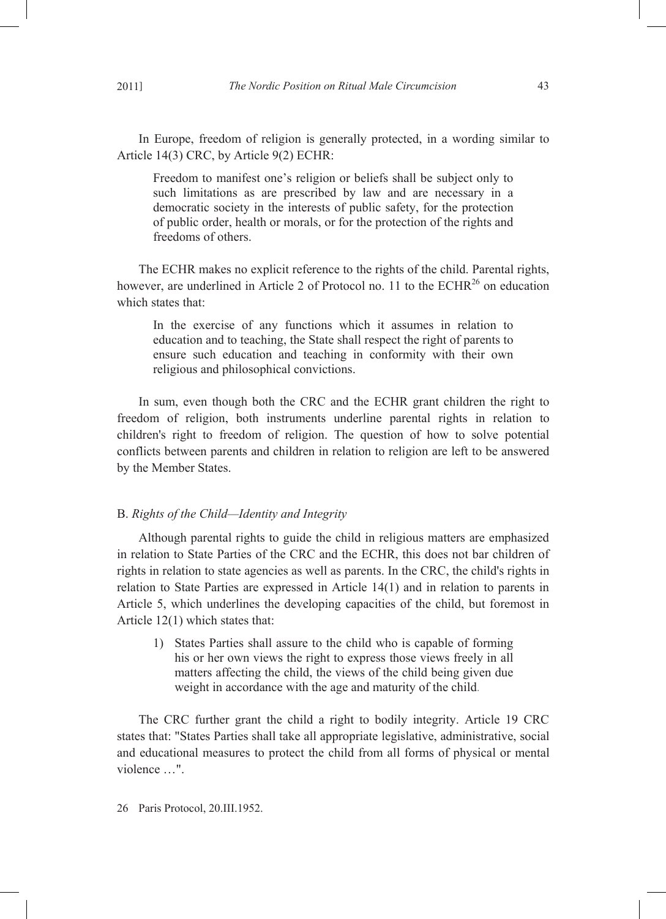In Europe, freedom of religion is generally protected, in a wording similar to Article 14(3) CRC, by Article 9(2) ECHR:

Freedom to manifest one's religion or beliefs shall be subject only to such limitations as are prescribed by law and are necessary in a democratic society in the interests of public safety, for the protection of public order, health or morals, or for the protection of the rights and freedoms of others.

The ECHR makes no explicit reference to the rights of the child. Parental rights, however, are underlined in Article 2 of Protocol no. 11 to the ECHR<sup>26</sup> on education which states that:

In the exercise of any functions which it assumes in relation to education and to teaching, the State shall respect the right of parents to ensure such education and teaching in conformity with their own religious and philosophical convictions.

In sum, even though both the CRC and the ECHR grant children the right to freedom of religion, both instruments underline parental rights in relation to children's right to freedom of religion. The question of how to solve potential conflicts between parents and children in relation to religion are left to be answered by the Member States.

## B. *Rights of the Child—Identity and Integrity*

Although parental rights to guide the child in religious matters are emphasized in relation to State Parties of the CRC and the ECHR, this does not bar children of rights in relation to state agencies as well as parents. In the CRC, the child's rights in relation to State Parties are expressed in Article 14(1) and in relation to parents in Article 5, which underlines the developing capacities of the child, but foremost in Article 12(1) which states that:

1) States Parties shall assure to the child who is capable of forming his or her own views the right to express those views freely in all matters affecting the child, the views of the child being given due weight in accordance with the age and maturity of the child.

The CRC further grant the child a right to bodily integrity. Article 19 CRC states that: "States Parties shall take all appropriate legislative, administrative, social and educational measures to protect the child from all forms of physical or mental violence …".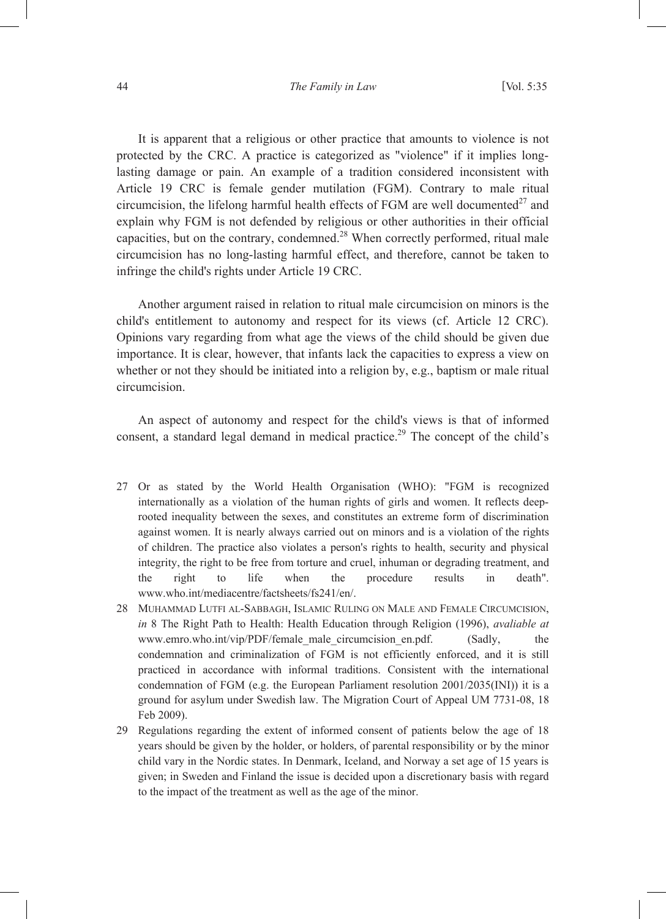It is apparent that a religious or other practice that amounts to violence is not protected by the CRC. A practice is categorized as "violence" if it implies longlasting damage or pain. An example of a tradition considered inconsistent with Article 19 CRC is female gender mutilation (FGM). Contrary to male ritual circumcision, the lifelong harmful health effects of FGM are well documented<sup>27</sup> and explain why FGM is not defended by religious or other authorities in their official capacities, but on the contrary, condemned.<sup>28</sup> When correctly performed, ritual male circumcision has no long-lasting harmful effect, and therefore, cannot be taken to infringe the child's rights under Article 19 CRC.

Another argument raised in relation to ritual male circumcision on minors is the child's entitlement to autonomy and respect for its views (cf. Article 12 CRC). Opinions vary regarding from what age the views of the child should be given due importance. It is clear, however, that infants lack the capacities to express a view on whether or not they should be initiated into a religion by, e.g., baptism or male ritual circumcision.

An aspect of autonomy and respect for the child's views is that of informed consent, a standard legal demand in medical practice.<sup>29</sup> The concept of the child's

- 27 Or as stated by the World Health Organisation (WHO): "FGM is recognized internationally as a violation of the human rights of girls and women. It reflects deeprooted inequality between the sexes, and constitutes an extreme form of discrimination against women. It is nearly always carried out on minors and is a violation of the rights of children. The practice also violates a person's rights to health, security and physical integrity, the right to be free from torture and cruel, inhuman or degrading treatment, and the right to life when the procedure results in death". www.who.int/mediacentre/factsheets/fs241/en/.
- 28 MUHAMMAD LUTFI AL-SABBAGH, ISLAMIC RULING ON MALE AND FEMALE CIRCUMCISION, *in* 8 The Right Path to Health: Health Education through Religion (1996), *avaliable at* www.emro.who.int/vip/PDF/female\_male\_circumcision\_en.pdf. (Sadly, the condemnation and criminalization of FGM is not efficiently enforced, and it is still practiced in accordance with informal traditions. Consistent with the international condemnation of FGM (e.g. the European Parliament resolution 2001/2035(INI)) it is a ground for asylum under Swedish law. The Migration Court of Appeal UM 7731-08, 18 Feb 2009).
- 29 Regulations regarding the extent of informed consent of patients below the age of 18 years should be given by the holder, or holders, of parental responsibility or by the minor child vary in the Nordic states. In Denmark, Iceland, and Norway a set age of 15 years is given; in Sweden and Finland the issue is decided upon a discretionary basis with regard to the impact of the treatment as well as the age of the minor.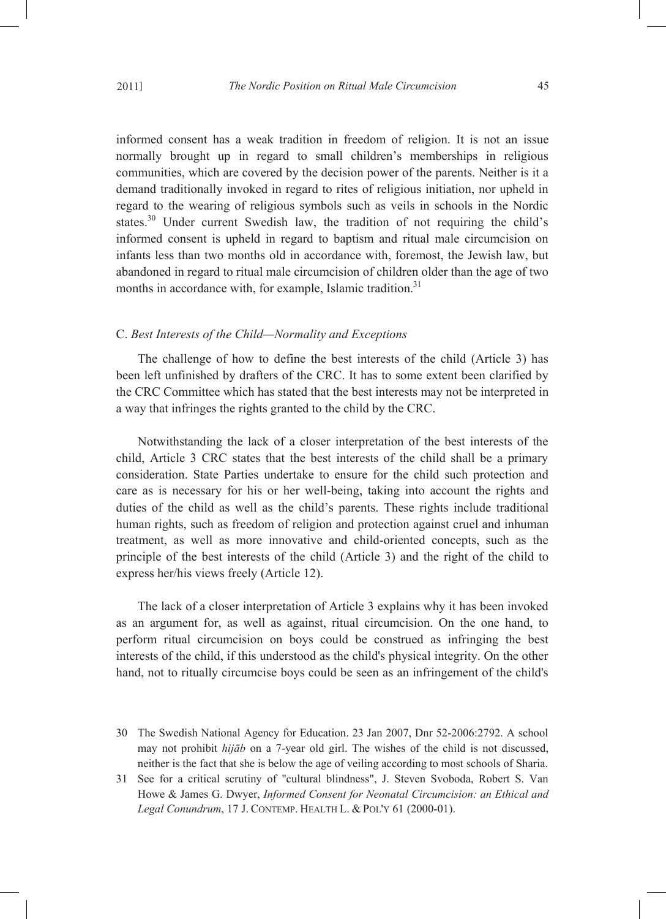informed consent has a weak tradition in freedom of religion. It is not an issue normally brought up in regard to small children's memberships in religious communities, which are covered by the decision power of the parents. Neither is it a demand traditionally invoked in regard to rites of religious initiation, nor upheld in regard to the wearing of religious symbols such as veils in schools in the Nordic states.<sup>30</sup> Under current Swedish law, the tradition of not requiring the child's informed consent is upheld in regard to baptism and ritual male circumcision on infants less than two months old in accordance with, foremost, the Jewish law, but abandoned in regard to ritual male circumcision of children older than the age of two months in accordance with, for example, Islamic tradition.<sup>31</sup>

#### C. *Best Interests of the Child—Normality and Exceptions*

The challenge of how to define the best interests of the child (Article 3) has been left unfinished by drafters of the CRC. It has to some extent been clarified by the CRC Committee which has stated that the best interests may not be interpreted in a way that infringes the rights granted to the child by the CRC.

Notwithstanding the lack of a closer interpretation of the best interests of the child, Article 3 CRC states that the best interests of the child shall be a primary consideration. State Parties undertake to ensure for the child such protection and care as is necessary for his or her well-being, taking into account the rights and duties of the child as well as the child's parents. These rights include traditional human rights, such as freedom of religion and protection against cruel and inhuman treatment, as well as more innovative and child-oriented concepts, such as the principle of the best interests of the child (Article 3) and the right of the child to express her/his views freely (Article 12).

The lack of a closer interpretation of Article 3 explains why it has been invoked as an argument for, as well as against, ritual circumcision. On the one hand, to perform ritual circumcision on boys could be construed as infringing the best interests of the child, if this understood as the child's physical integrity. On the other hand, not to ritually circumcise boys could be seen as an infringement of the child's

- 30 The Swedish National Agency for Education. 23 Jan 2007, Dnr 52-2006:2792. A school may not prohibit *hijāb* on a 7-year old girl. The wishes of the child is not discussed, neither is the fact that she is below the age of veiling according to most schools of Sharia.
- 31 See for a critical scrutiny of "cultural blindness", J. Steven Svoboda, Robert S. Van Howe & James G. Dwyer, *Informed Consent for Neonatal Circumcision: an Ethical and Legal Conundrum*, 17 J. CONTEMP. HEALTH L. & POL'Y 61 (2000-01).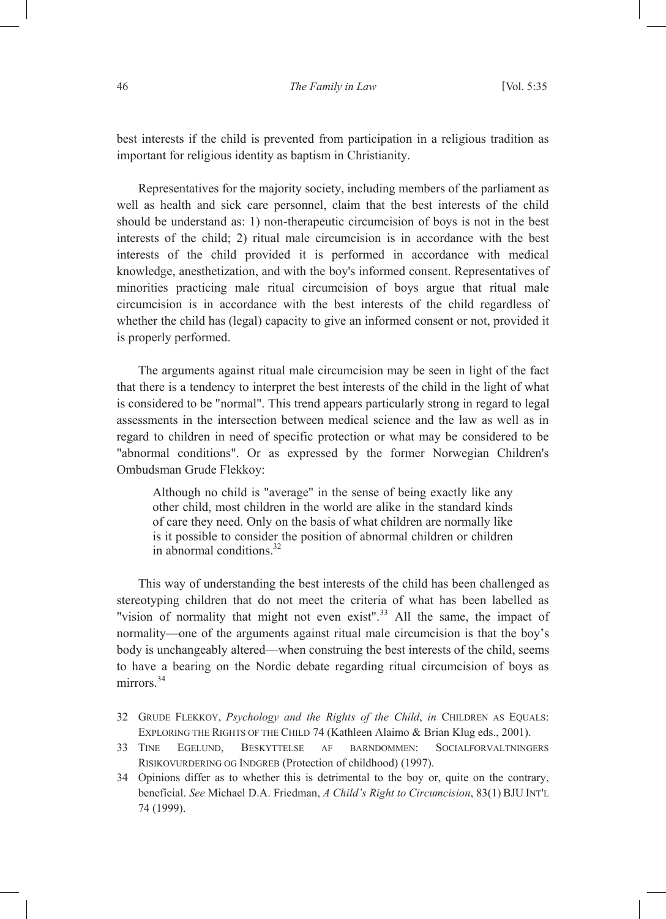best interests if the child is prevented from participation in a religious tradition as important for religious identity as baptism in Christianity.

Representatives for the majority society, including members of the parliament as well as health and sick care personnel, claim that the best interests of the child should be understand as: 1) non-therapeutic circumcision of boys is not in the best interests of the child; 2) ritual male circumcision is in accordance with the best interests of the child provided it is performed in accordance with medical knowledge, anesthetization, and with the boy's informed consent. Representatives of minorities practicing male ritual circumcision of boys argue that ritual male circumcision is in accordance with the best interests of the child regardless of whether the child has (legal) capacity to give an informed consent or not, provided it is properly performed.

The arguments against ritual male circumcision may be seen in light of the fact that there is a tendency to interpret the best interests of the child in the light of what is considered to be "normal". This trend appears particularly strong in regard to legal assessments in the intersection between medical science and the law as well as in regard to children in need of specific protection or what may be considered to be "abnormal conditions". Or as expressed by the former Norwegian Children's Ombudsman Grude Flekkoy:

Although no child is "average" in the sense of being exactly like any other child, most children in the world are alike in the standard kinds of care they need. Only on the basis of what children are normally like is it possible to consider the position of abnormal children or children in abnormal conditions.<sup>32</sup>

This way of understanding the best interests of the child has been challenged as stereotyping children that do not meet the criteria of what has been labelled as "vision of normality that might not even exist".<sup>33</sup> All the same, the impact of normality—one of the arguments against ritual male circumcision is that the boy's body is unchangeably altered—when construing the best interests of the child, seems to have a bearing on the Nordic debate regarding ritual circumcision of boys as  $mirror<sup>34</sup>$ 

- 32 GRUDE FLEKKOY, *Psychology and the Rights of the Child*, *in* CHILDREN AS EQUALS: EXPLORING THE RIGHTS OF THE CHILD 74 (Kathleen Alaimo & Brian Klug eds., 2001).
- 33 TINE EGELUND, BESKYTTELSE AF BARNDOMMEN: SOCIALFORVALTNINGERS RISIKOVURDERING OG INDGREB (Protection of childhood) (1997).
- 34 Opinions differ as to whether this is detrimental to the boy or, quite on the contrary, beneficial. *See* Michael D.A. Friedman, *A Child's Right to Circumcision*, 83(1) BJU INT'L 74 (1999).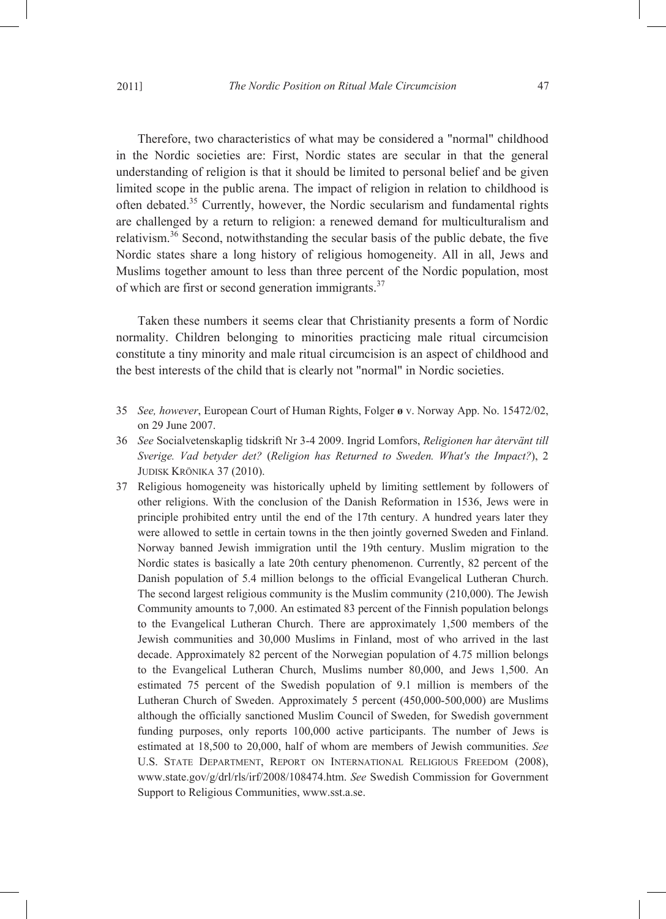Therefore, two characteristics of what may be considered a "normal" childhood in the Nordic societies are: First, Nordic states are secular in that the general understanding of religion is that it should be limited to personal belief and be given limited scope in the public arena. The impact of religion in relation to childhood is often debated.<sup>35</sup> Currently, however, the Nordic secularism and fundamental rights are challenged by a return to religion: a renewed demand for multiculturalism and relativism.36 Second, notwithstanding the secular basis of the public debate, the five Nordic states share a long history of religious homogeneity. All in all, Jews and Muslims together amount to less than three percent of the Nordic population, most of which are first or second generation immigrants. $37$ 

Taken these numbers it seems clear that Christianity presents a form of Nordic normality. Children belonging to minorities practicing male ritual circumcision constitute a tiny minority and male ritual circumcision is an aspect of childhood and the best interests of the child that is clearly not "normal" in Nordic societies.

- 35 *See, however*, European Court of Human Rights, Folger **ø** v. Norway App. No. 15472/02, on 29 June 2007.
- 36 *See* Socialvetenskaplig tidskrift Nr 3-4 2009. Ingrid Lomfors, *Religionen har återvänt till Sverige. Vad betyder det?* (*Religion has Returned to Sweden. What's the Impact?*), 2 JUDISK KRÖNIKA 37 (2010).
- 37 Religious homogeneity was historically upheld by limiting settlement by followers of other religions. With the conclusion of the Danish Reformation in 1536, Jews were in principle prohibited entry until the end of the 17th century. A hundred years later they were allowed to settle in certain towns in the then jointly governed Sweden and Finland. Norway banned Jewish immigration until the 19th century. Muslim migration to the Nordic states is basically a late 20th century phenomenon. Currently, 82 percent of the Danish population of 5.4 million belongs to the official Evangelical Lutheran Church. The second largest religious community is the Muslim community (210,000). The Jewish Community amounts to 7,000. An estimated 83 percent of the Finnish population belongs to the Evangelical Lutheran Church. There are approximately 1,500 members of the Jewish communities and 30,000 Muslims in Finland, most of who arrived in the last decade. Approximately 82 percent of the Norwegian population of 4.75 million belongs to the Evangelical Lutheran Church, Muslims number 80,000, and Jews 1,500. An estimated 75 percent of the Swedish population of 9.1 million is members of the Lutheran Church of Sweden. Approximately 5 percent (450,000-500,000) are Muslims although the officially sanctioned Muslim Council of Sweden, for Swedish government funding purposes, only reports 100,000 active participants. The number of Jews is estimated at 18,500 to 20,000, half of whom are members of Jewish communities. *See*  U.S. STATE DEPARTMENT, REPORT ON INTERNATIONAL RELIGIOUS FREEDOM (2008), www.state.gov/g/drl/rls/irf/2008/108474.htm. *See* Swedish Commission for Government Support to Religious Communities, www.sst.a.se.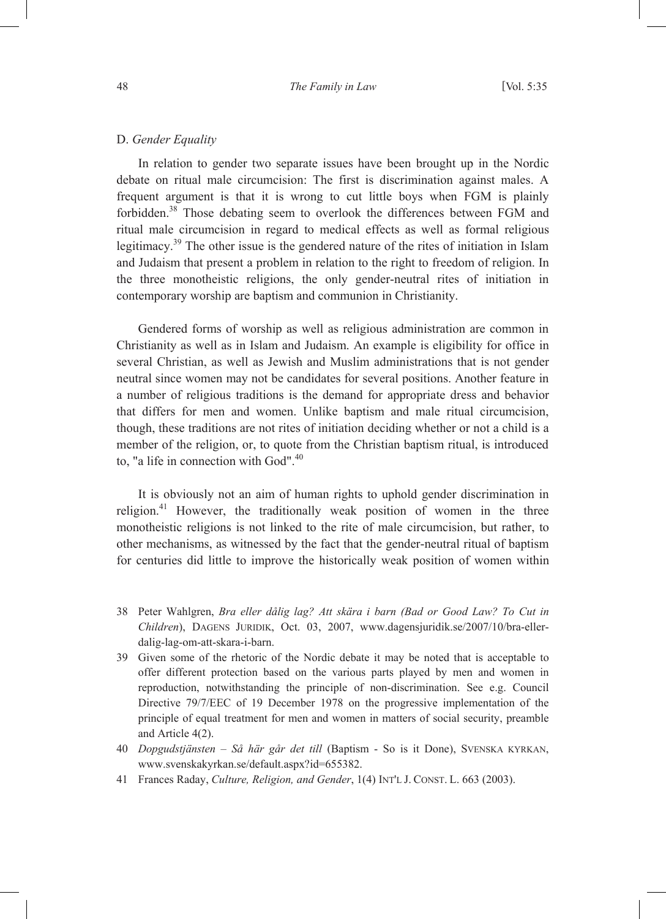## D. *Gender Equality*

In relation to gender two separate issues have been brought up in the Nordic debate on ritual male circumcision: The first is discrimination against males. A frequent argument is that it is wrong to cut little boys when FGM is plainly forbidden.<sup>38</sup> Those debating seem to overlook the differences between FGM and ritual male circumcision in regard to medical effects as well as formal religious legitimacy.39 The other issue is the gendered nature of the rites of initiation in Islam and Judaism that present a problem in relation to the right to freedom of religion. In the three monotheistic religions, the only gender-neutral rites of initiation in contemporary worship are baptism and communion in Christianity.

Gendered forms of worship as well as religious administration are common in Christianity as well as in Islam and Judaism. An example is eligibility for office in several Christian, as well as Jewish and Muslim administrations that is not gender neutral since women may not be candidates for several positions. Another feature in a number of religious traditions is the demand for appropriate dress and behavior that differs for men and women. Unlike baptism and male ritual circumcision, though, these traditions are not rites of initiation deciding whether or not a child is a member of the religion, or, to quote from the Christian baptism ritual, is introduced to, "a life in connection with God".<sup>40</sup>

It is obviously not an aim of human rights to uphold gender discrimination in religion.41 However, the traditionally weak position of women in the three monotheistic religions is not linked to the rite of male circumcision, but rather, to other mechanisms, as witnessed by the fact that the gender-neutral ritual of baptism for centuries did little to improve the historically weak position of women within

- 38 Peter Wahlgren, *Bra eller dålig lag? Att skära i barn (Bad or Good Law? To Cut in Children*), DAGENS JURIDIK, Oct. 03, 2007, www.dagensjuridik.se/2007/10/bra-ellerdalig-lag-om-att-skara-i-barn.
- 39 Given some of the rhetoric of the Nordic debate it may be noted that is acceptable to offer different protection based on the various parts played by men and women in reproduction, notwithstanding the principle of non-discrimination. See e.g. Council Directive 79/7/EEC of 19 December 1978 on the progressive implementation of the principle of equal treatment for men and women in matters of social security, preamble and Article 4(2).
- 40 *Dopgudstjänsten Så här går det till* (Baptism So is it Done), SVENSKA KYRKAN, www.svenskakyrkan.se/default.aspx?id=655382.
- 41 Frances Raday, *Culture, Religion, and Gender*, 1(4) INT'L J. CONST. L. 663 (2003).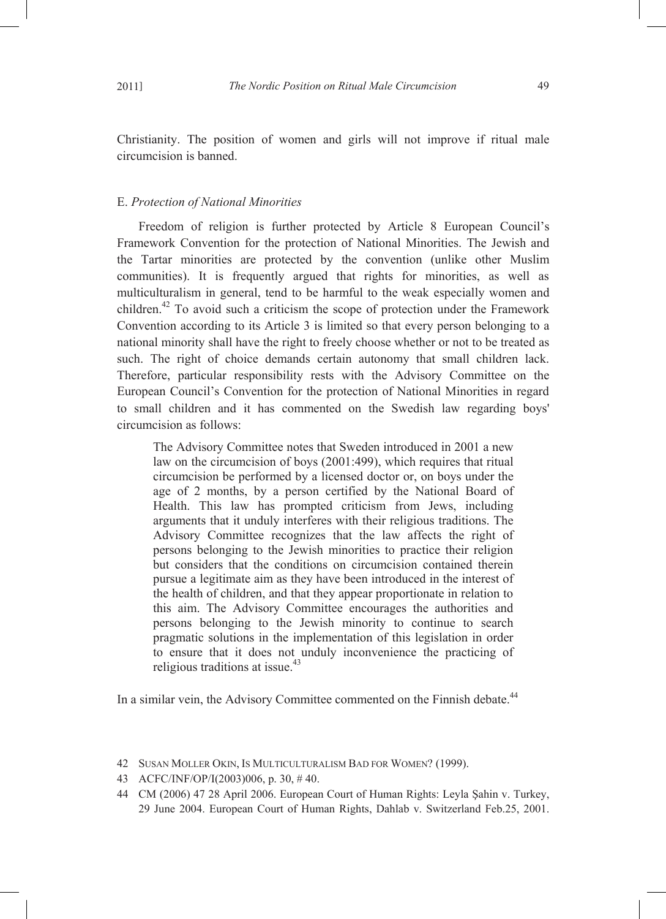Christianity. The position of women and girls will not improve if ritual male circumcision is banned.

#### E. *Protection of National Minorities*

Freedom of religion is further protected by Article 8 European Council's Framework Convention for the protection of National Minorities. The Jewish and the Tartar minorities are protected by the convention (unlike other Muslim communities). It is frequently argued that rights for minorities, as well as multiculturalism in general, tend to be harmful to the weak especially women and children.<sup>42</sup> To avoid such a criticism the scope of protection under the Framework Convention according to its Article 3 is limited so that every person belonging to a national minority shall have the right to freely choose whether or not to be treated as such. The right of choice demands certain autonomy that small children lack. Therefore, particular responsibility rests with the Advisory Committee on the European Council's Convention for the protection of National Minorities in regard to small children and it has commented on the Swedish law regarding boys' circumcision as follows:

The Advisory Committee notes that Sweden introduced in 2001 a new law on the circumcision of boys (2001:499), which requires that ritual circumcision be performed by a licensed doctor or, on boys under the age of 2 months, by a person certified by the National Board of Health. This law has prompted criticism from Jews, including arguments that it unduly interferes with their religious traditions. The Advisory Committee recognizes that the law affects the right of persons belonging to the Jewish minorities to practice their religion but considers that the conditions on circumcision contained therein pursue a legitimate aim as they have been introduced in the interest of the health of children, and that they appear proportionate in relation to this aim. The Advisory Committee encourages the authorities and persons belonging to the Jewish minority to continue to search pragmatic solutions in the implementation of this legislation in order to ensure that it does not unduly inconvenience the practicing of religious traditions at issue.<sup>43</sup>

In a similar vein, the Advisory Committee commented on the Finnish debate.<sup>44</sup>

<sup>42</sup> SUSAN MOLLER OKIN, IS MULTICULTURALISM BAD FOR WOMEN? (1999).

<sup>43</sup> ACFC/INF/OP/I(2003)006, p. 30, # 40.

<sup>44</sup> CM (2006) 47 28 April 2006. European Court of Human Rights: Leyla Şahin v. Turkey, 29 June 2004. European Court of Human Rights, Dahlab v. Switzerland Feb.25, 2001.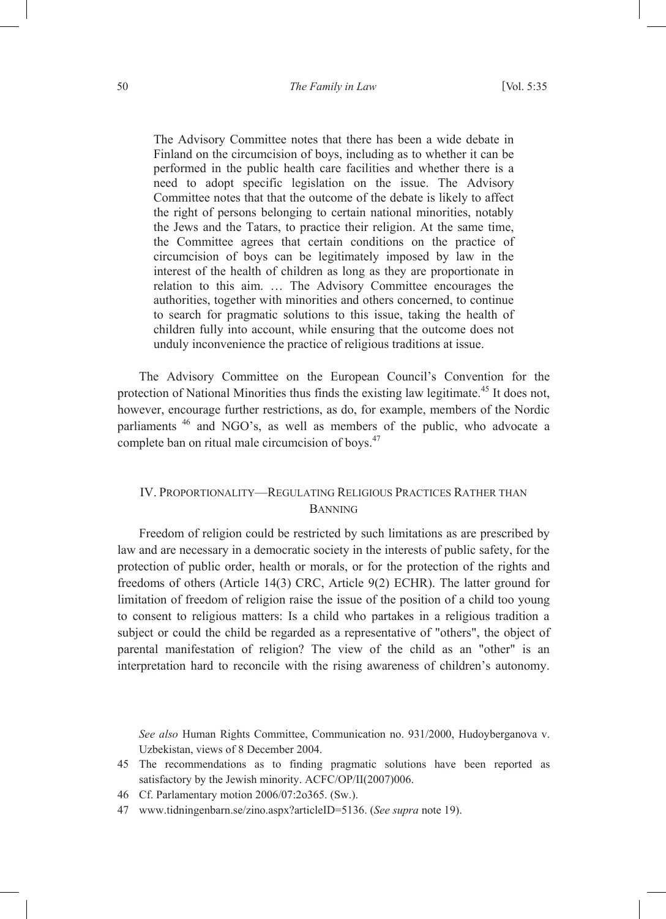The Advisory Committee notes that there has been a wide debate in Finland on the circumcision of boys, including as to whether it can be performed in the public health care facilities and whether there is a need to adopt specific legislation on the issue. The Advisory Committee notes that that the outcome of the debate is likely to affect the right of persons belonging to certain national minorities, notably the Jews and the Tatars, to practice their religion. At the same time, the Committee agrees that certain conditions on the practice of circumcision of boys can be legitimately imposed by law in the interest of the health of children as long as they are proportionate in relation to this aim. … The Advisory Committee encourages the authorities, together with minorities and others concerned, to continue to search for pragmatic solutions to this issue, taking the health of children fully into account, while ensuring that the outcome does not unduly inconvenience the practice of religious traditions at issue.

The Advisory Committee on the European Council's Convention for the protection of National Minorities thus finds the existing law legitimate.<sup>45</sup> It does not, however, encourage further restrictions, as do, for example, members of the Nordic parliaments 46 and NGO's, as well as members of the public, who advocate a complete ban on ritual male circumcision of boys.<sup>47</sup>

# IV. PROPORTIONALITY—REGULATING RELIGIOUS PRACTICES RATHER THAN BANNING

Freedom of religion could be restricted by such limitations as are prescribed by law and are necessary in a democratic society in the interests of public safety, for the protection of public order, health or morals, or for the protection of the rights and freedoms of others (Article 14(3) CRC, Article 9(2) ECHR). The latter ground for limitation of freedom of religion raise the issue of the position of a child too young to consent to religious matters: Is a child who partakes in a religious tradition a subject or could the child be regarded as a representative of "others", the object of parental manifestation of religion? The view of the child as an "other" is an interpretation hard to reconcile with the rising awareness of children's autonomy.

*See also* Human Rights Committee, Communication no. 931/2000, Hudoyberganova v. Uzbekistan, views of 8 December 2004.

- 46 Cf. Parlamentary motion 2006/07:2o365. (Sw.).
- 47 www.tidningenbarn.se/zino.aspx?articleID=5136. (*See supra* note 19).

<sup>45</sup> The recommendations as to finding pragmatic solutions have been reported as satisfactory by the Jewish minority. ACFC/OP/II(2007)006.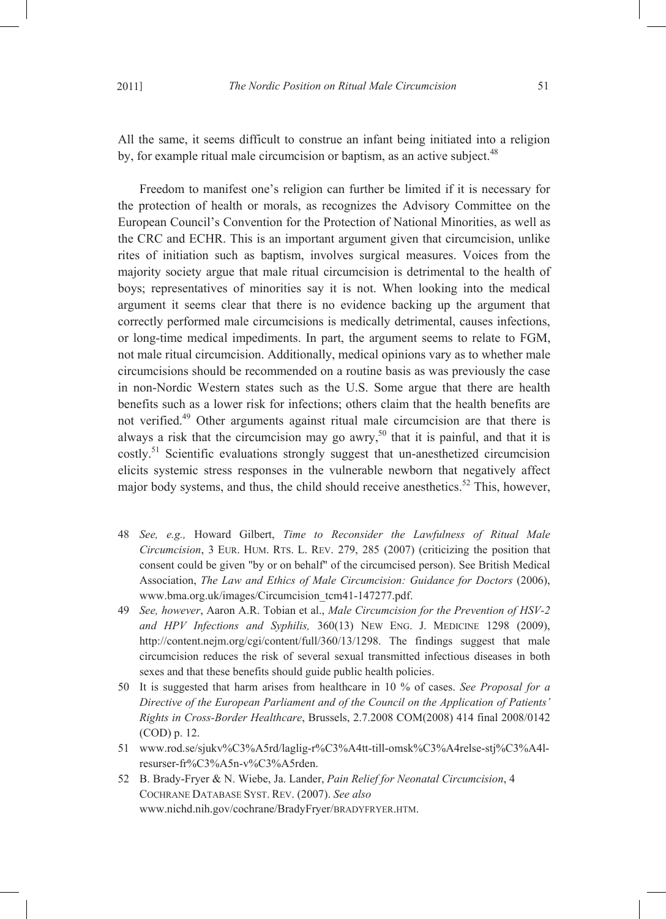Freedom to manifest one's religion can further be limited if it is necessary for the protection of health or morals, as recognizes the Advisory Committee on the European Council's Convention for the Protection of National Minorities, as well as the CRC and ECHR. This is an important argument given that circumcision, unlike rites of initiation such as baptism, involves surgical measures. Voices from the majority society argue that male ritual circumcision is detrimental to the health of boys; representatives of minorities say it is not. When looking into the medical argument it seems clear that there is no evidence backing up the argument that correctly performed male circumcisions is medically detrimental, causes infections, or long-time medical impediments. In part, the argument seems to relate to FGM, not male ritual circumcision. Additionally, medical opinions vary as to whether male circumcisions should be recommended on a routine basis as was previously the case in non-Nordic Western states such as the U.S. Some argue that there are health benefits such as a lower risk for infections; others claim that the health benefits are not verified.49 Other arguments against ritual male circumcision are that there is always a risk that the circumcision may go awry,<sup>50</sup> that it is painful, and that it is costly.<sup>51</sup> Scientific evaluations strongly suggest that un-anesthetized circumcision elicits systemic stress responses in the vulnerable newborn that negatively affect major body systems, and thus, the child should receive anesthetics.<sup>52</sup> This, however,

- 48 *See, e.g.,* Howard Gilbert, *Time to Reconsider the Lawfulness of Ritual Male Circumcision*, 3 EUR. HUM. RTS. L. REV. 279, 285 (2007) (criticizing the position that consent could be given "by or on behalf" of the circumcised person). See British Medical Association, *The Law and Ethics of Male Circumcision: Guidance for Doctors* (2006), www.bma.org.uk/images/Circumcision\_tcm41-147277.pdf.
- 49 *See, however*, Aaron A.R. Tobian et al., *Male Circumcision for the Prevention of HSV-2 and HPV Infections and Syphilis,* 360(13) NEW ENG. J. MEDICINE 1298 (2009), http://content.nejm.org/cgi/content/full/360/13/1298. The findings suggest that male circumcision reduces the risk of several sexual transmitted infectious diseases in both sexes and that these benefits should guide public health policies.
- 50 It is suggested that harm arises from healthcare in 10 % of cases. *See Proposal for a Directive of the European Parliament and of the Council on the Application of Patients' Rights in Cross-Border Healthcare*, Brussels, 2.7.2008 COM(2008) 414 final 2008/0142 (COD) p. 12.
- 51 www.rod.se/sjukv%C3%A5rd/laglig-r%C3%A4tt-till-omsk%C3%A4relse-stj%C3%A4lresurser-fr%C3%A5n-v%C3%A5rden.
- 52 B. Brady-Fryer & N. Wiebe, Ja. Lander, *Pain Relief for Neonatal Circumcision*, 4 COCHRANE DATABASE SYST. REV. (2007). *See also* www.nichd.nih.gov/cochrane/BradyFryer/BRADYFRYER.HTM.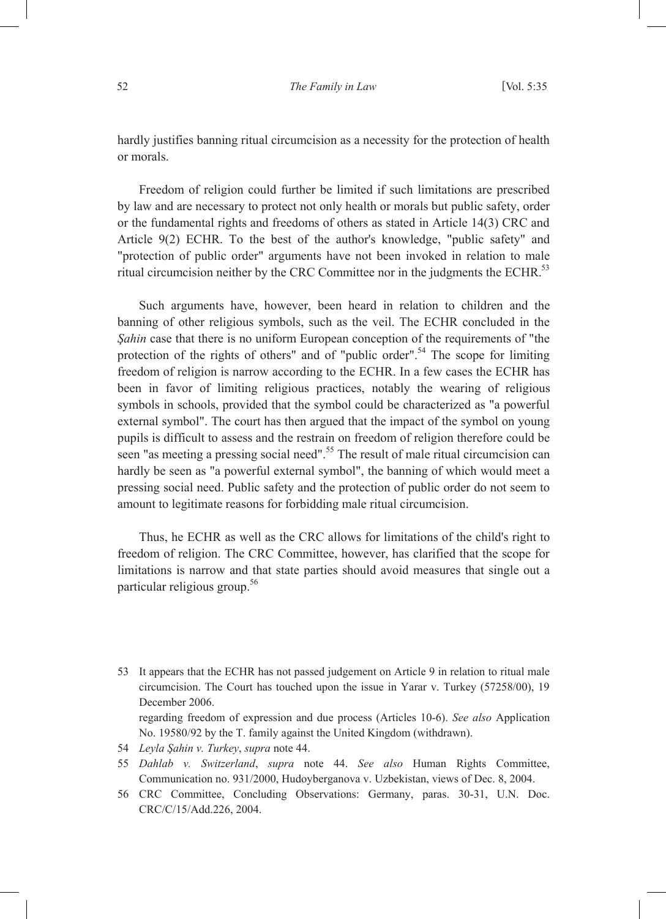hardly justifies banning ritual circumcision as a necessity for the protection of health or morals.

Freedom of religion could further be limited if such limitations are prescribed by law and are necessary to protect not only health or morals but public safety, order or the fundamental rights and freedoms of others as stated in Article 14(3) CRC and Article 9(2) ECHR. To the best of the author's knowledge, "public safety" and "protection of public order" arguments have not been invoked in relation to male ritual circumcision neither by the CRC Committee nor in the judgments the ECHR.<sup>53</sup>

Such arguments have, however, been heard in relation to children and the banning of other religious symbols, such as the veil. The ECHR concluded in the *Şahin* case that there is no uniform European conception of the requirements of "the protection of the rights of others" and of "public order".54 The scope for limiting freedom of religion is narrow according to the ECHR. In a few cases the ECHR has been in favor of limiting religious practices, notably the wearing of religious symbols in schools, provided that the symbol could be characterized as "a powerful external symbol". The court has then argued that the impact of the symbol on young pupils is difficult to assess and the restrain on freedom of religion therefore could be seen "as meeting a pressing social need".<sup>55</sup> The result of male ritual circumcision can hardly be seen as "a powerful external symbol", the banning of which would meet a pressing social need. Public safety and the protection of public order do not seem to amount to legitimate reasons for forbidding male ritual circumcision.

Thus, he ECHR as well as the CRC allows for limitations of the child's right to freedom of religion. The CRC Committee, however, has clarified that the scope for limitations is narrow and that state parties should avoid measures that single out a particular religious group.56

- 53 It appears that the ECHR has not passed judgement on Article 9 in relation to ritual male circumcision. The Court has touched upon the issue in Yarar v. Turkey (57258/00), 19 December 2006. regarding freedom of expression and due process (Articles 10-6). *See also* Application No. 19580/92 by the T. family against the United Kingdom (withdrawn).
- 54 *Leyla Şahin v. Turkey*, *supra* note 44.
- 55 *Dahlab v. Switzerland*, *supra* note 44. *See also* Human Rights Committee, Communication no. 931/2000, Hudoyberganova v. Uzbekistan, views of Dec. 8, 2004.
- 56 CRC Committee, Concluding Observations: Germany, paras. 30-31, U.N. Doc. CRC/C/15/Add.226, 2004.